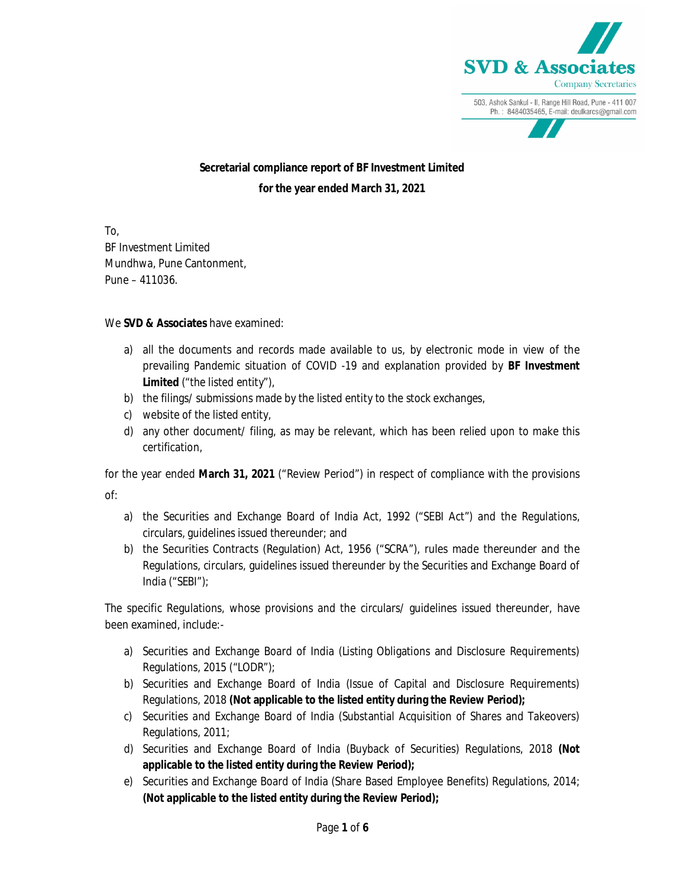

 **Secretarial compliance report of BF Investment Limited for the year ended March 31, 2021**

To, BF Investment Limited Mundhwa, Pune Cantonment, Pune – 411036.

## We **SVD & Associates** have examined:

- a) all the documents and records made available to us, by electronic mode in view of the prevailing Pandemic situation of COVID -19 and explanation provided by **BF Investment Limited** ("the listed entity"),
- b) the filings/ submissions made by the listed entity to the stock exchanges,
- c) website of the listed entity,
- d) any other document/ filing, as may be relevant, which has been relied upon to make this certification,

for the year ended **March 31, 2021** ("Review Period") in respect of compliance with the provisions of:

- a) the Securities and Exchange Board of India Act, 1992 ("SEBI Act") and the Regulations, circulars, guidelines issued thereunder; and
- b) the Securities Contracts (Regulation) Act, 1956 ("SCRA"), rules made thereunder and the Regulations, circulars, guidelines issued thereunder by the Securities and Exchange Board of India ("SEBI");

The specific Regulations, whose provisions and the circulars/ guidelines issued thereunder, have been examined, include:-

- a) Securities and Exchange Board of India (Listing Obligations and Disclosure Requirements) Regulations, 2015 ("LODR");
- b) Securities and Exchange Board of India (Issue of Capital and Disclosure Requirements) Regulations, 2018 **(Not applicable to the listed entity during the Review Period);**
- c) Securities and Exchange Board of India (Substantial Acquisition of Shares and Takeovers) Regulations, 2011;
- d) Securities and Exchange Board of India (Buyback of Securities) Regulations, 2018 **(Not applicable to the listed entity during the Review Period);**
- e) Securities and Exchange Board of India (Share Based Employee Benefits) Regulations, 2014; **(Not applicable to the listed entity during the Review Period);**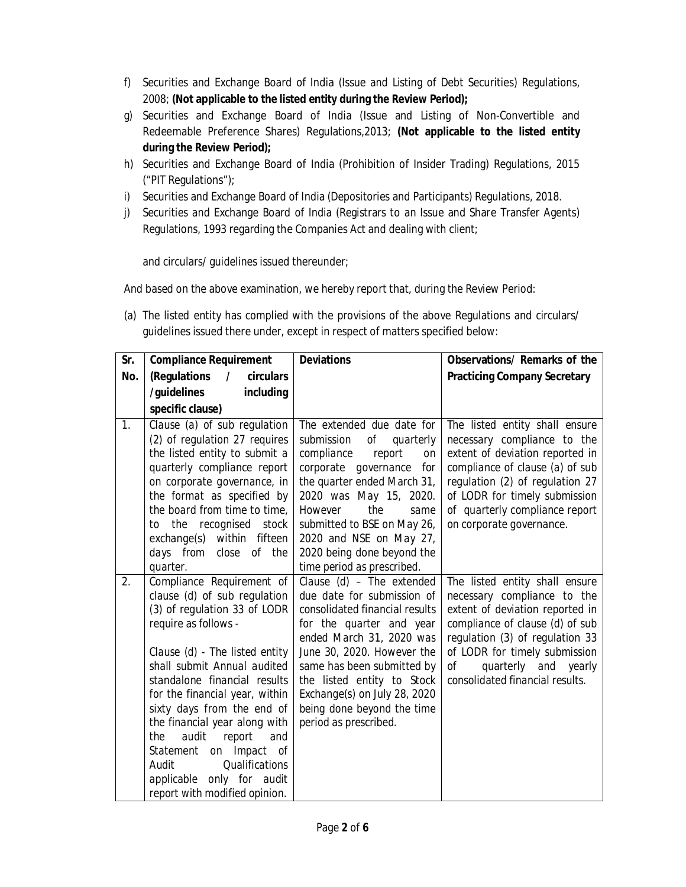- f) Securities and Exchange Board of India (Issue and Listing of Debt Securities) Regulations, 2008; **(Not applicable to the listed entity during the Review Period);**
- g) Securities and Exchange Board of India (Issue and Listing of Non-Convertible and Redeemable Preference Shares) Regulations,2013; **(Not applicable to the listed entity during the Review Period);**
- h) Securities and Exchange Board of India (Prohibition of Insider Trading) Regulations, 2015 ("PIT Regulations");
- i) Securities and Exchange Board of India (Depositories and Participants) Regulations, 2018.
- j) Securities and Exchange Board of India (Registrars to an Issue and Share Transfer Agents) Regulations, 1993 regarding the Companies Act and dealing with client;

and circulars/ guidelines issued thereunder;

And based on the above examination, we hereby report that, during the Review Period:

(a) The listed entity has complied with the provisions of the above Regulations and circulars/ guidelines issued there under, except in respect of matters specified below:

| Sr. | <b>Compliance Requirement</b>                                                                                                                                                                                                                                                                                                                                                                                                                                                 | <b>Deviations</b>                                                                                                                                                                                                                                                                                                                  | Observations/ Remarks of the                                                                                                                                                                                                                                             |
|-----|-------------------------------------------------------------------------------------------------------------------------------------------------------------------------------------------------------------------------------------------------------------------------------------------------------------------------------------------------------------------------------------------------------------------------------------------------------------------------------|------------------------------------------------------------------------------------------------------------------------------------------------------------------------------------------------------------------------------------------------------------------------------------------------------------------------------------|--------------------------------------------------------------------------------------------------------------------------------------------------------------------------------------------------------------------------------------------------------------------------|
| No. | (Regulations<br>$\prime$<br>circulars                                                                                                                                                                                                                                                                                                                                                                                                                                         |                                                                                                                                                                                                                                                                                                                                    | <b>Practicing Company Secretary</b>                                                                                                                                                                                                                                      |
|     | /guidelines<br>including                                                                                                                                                                                                                                                                                                                                                                                                                                                      |                                                                                                                                                                                                                                                                                                                                    |                                                                                                                                                                                                                                                                          |
|     | specific clause)                                                                                                                                                                                                                                                                                                                                                                                                                                                              |                                                                                                                                                                                                                                                                                                                                    |                                                                                                                                                                                                                                                                          |
| 1.  | Clause (a) of sub regulation<br>(2) of regulation 27 requires<br>the listed entity to submit a<br>quarterly compliance report<br>on corporate governance, in<br>the format as specified by<br>the board from time to time,<br>the recognised<br>stock<br>to<br>within fifteen<br>exchange(s)<br>close of the<br>days from<br>quarter.                                                                                                                                         | The extended due date for<br>submission<br>Оf<br>quarterly<br>compliance<br>report<br>on<br>corporate governance<br>for<br>the quarter ended March 31,<br>2020 was May 15, 2020.<br>the<br>However<br>same<br>submitted to BSE on May 26,<br>2020 and NSE on May 27,<br>2020 being done beyond the<br>time period as prescribed.   | The listed entity shall ensure<br>necessary compliance to the<br>extent of deviation reported in<br>compliance of clause (a) of sub<br>regulation (2) of regulation 27<br>of LODR for timely submission<br>of quarterly compliance report<br>on corporate governance.    |
| 2.  | Compliance Requirement of<br>clause (d) of sub regulation<br>(3) of regulation 33 of LODR<br>require as follows -<br>Clause (d) - The listed entity<br>shall submit Annual audited<br>standalone financial results<br>for the financial year, within<br>sixty days from the end of<br>the financial year along with<br>audit<br>report<br>the<br>and<br>on Impact<br>Statement<br>оf<br>Qualifications<br>Audit<br>applicable only for audit<br>report with modified opinion. | Clause (d) - The extended<br>due date for submission of<br>consolidated financial results<br>for the quarter and year<br>ended March 31, 2020 was<br>June 30, 2020. However the<br>same has been submitted by<br>the listed entity to Stock<br>Exchange(s) on July 28, 2020<br>being done beyond the time<br>period as prescribed. | The listed entity shall ensure<br>necessary compliance to the<br>extent of deviation reported in<br>compliance of clause (d) of sub<br>regulation (3) of regulation 33<br>of LODR for timely submission<br>quarterly and yearly<br>Οf<br>consolidated financial results. |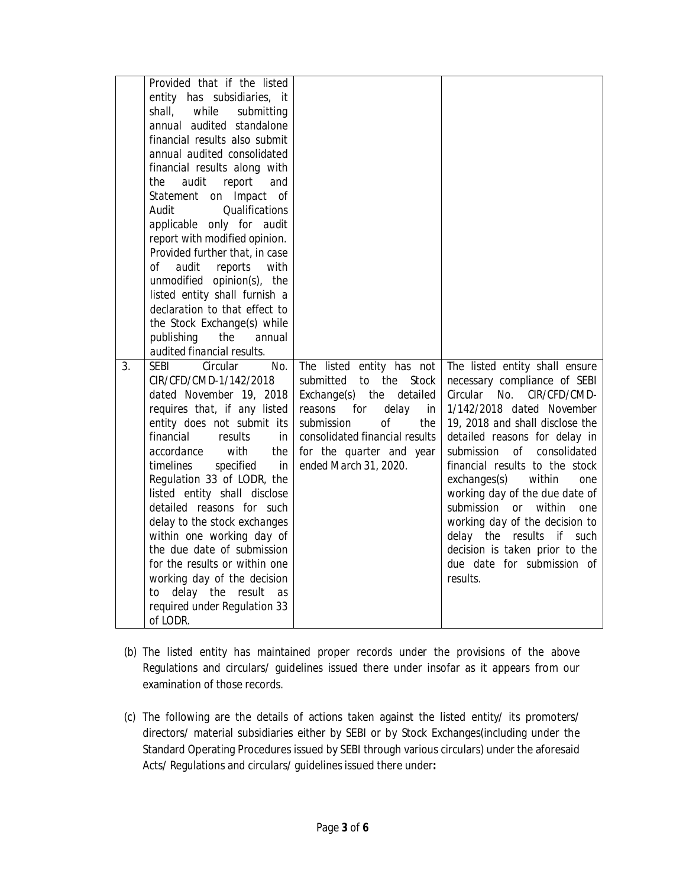|    | Provided that if the listed<br>entity has subsidiaries, it |                                                                     |                                                                |
|----|------------------------------------------------------------|---------------------------------------------------------------------|----------------------------------------------------------------|
|    | while<br>shall,<br>submitting                              |                                                                     |                                                                |
|    | annual audited standalone                                  |                                                                     |                                                                |
|    | financial results also submit                              |                                                                     |                                                                |
|    | annual audited consolidated                                |                                                                     |                                                                |
|    | financial results along with                               |                                                                     |                                                                |
|    | the<br>audit<br>report<br>and                              |                                                                     |                                                                |
|    | Statement<br>on Impact<br>of                               |                                                                     |                                                                |
|    | Qualifications<br>Audit                                    |                                                                     |                                                                |
|    | applicable only for audit                                  |                                                                     |                                                                |
|    | report with modified opinion.                              |                                                                     |                                                                |
|    | Provided further that, in case                             |                                                                     |                                                                |
|    | οf<br>audit<br>reports<br>with                             |                                                                     |                                                                |
|    | unmodified opinion(s),<br>the                              |                                                                     |                                                                |
|    | listed entity shall furnish a                              |                                                                     |                                                                |
|    | declaration to that effect to                              |                                                                     |                                                                |
|    | the Stock Exchange(s) while                                |                                                                     |                                                                |
|    | publishing<br>the<br>annual                                |                                                                     |                                                                |
|    | audited financial results.                                 |                                                                     |                                                                |
| 3. | SEBI<br>Circular<br>No.<br>CIR/CFD/CMD-1/142/2018          | The listed entity has not<br>the<br>submitted<br><b>Stock</b><br>to | The listed entity shall ensure<br>necessary compliance of SEBI |
|    | dated November 19, 2018                                    | Exchange(s)<br>the<br>detailed                                      | Circular No.<br>CIR/CFD/CMD-                                   |
|    | requires that, if any listed                               | for<br>delay<br>reasons<br>in                                       | 1/142/2018 dated November                                      |
|    | entity does not submit its                                 | submission<br>Ωf<br>the                                             | 19, 2018 and shall disclose the                                |
|    | financial<br>results<br>in                                 | consolidated financial results                                      | detailed reasons for delay in                                  |
|    | with<br>accordance<br>the                                  | for the quarter and year                                            | consolidated<br>submission<br>οf                               |
|    | timelines<br>specified<br>in                               | ended March 31, 2020.                                               | financial results to the stock                                 |
|    | Regulation 33 of LODR, the                                 |                                                                     | exchanges(s)<br>within<br>one                                  |
|    | listed entity shall disclose                               |                                                                     | working day of the due date of                                 |
|    | detailed reasons for such                                  |                                                                     | submission<br>within<br><i>or</i><br>one                       |
|    | delay to the stock exchanges                               |                                                                     | working day of the decision to                                 |
|    | within one working day of                                  |                                                                     | delay the<br>results<br>if such                                |
|    | the due date of submission                                 |                                                                     | decision is taken prior to the                                 |
|    | for the results or within one                              |                                                                     | due date for submission of                                     |
|    | working day of the decision                                |                                                                     | results.                                                       |
|    | delay the result<br>to<br>as                               |                                                                     |                                                                |
|    | required under Regulation 33                               |                                                                     |                                                                |
|    | of LODR.                                                   |                                                                     |                                                                |

- (b) The listed entity has maintained proper records under the provisions of the above Regulations and circulars/ guidelines issued there under insofar as it appears from our examination of those records.
- (c) The following are the details of actions taken against the listed entity/ its promoters/ directors/ material subsidiaries either by SEBI or by Stock Exchanges(including under the Standard Operating Procedures issued by SEBI through various circulars) under the aforesaid Acts/ Regulations and circulars/ guidelines issued there under**:**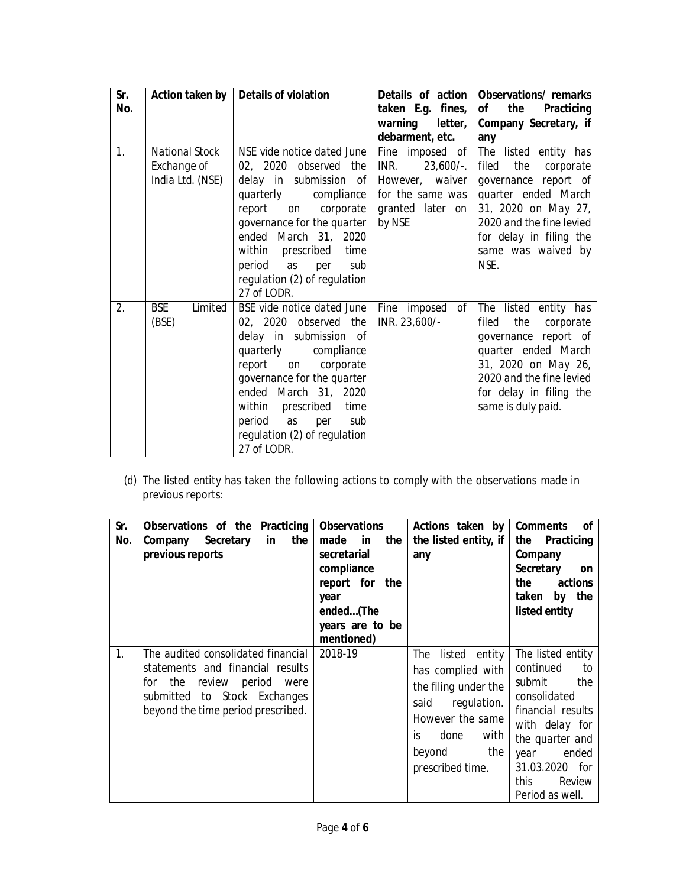| Sr.<br>No. | Action taken by                                          | <b>Details of violation</b>                                                                                                                                                                                                                                                                              | taken E.g. fines,<br>warning<br>letter,<br>debarment, etc.                                                   | Details of action   Observations/ remarks<br>Οf<br>the<br>Practicing<br>Company Secretary, if<br>any                                                                                                          |
|------------|----------------------------------------------------------|----------------------------------------------------------------------------------------------------------------------------------------------------------------------------------------------------------------------------------------------------------------------------------------------------------|--------------------------------------------------------------------------------------------------------------|---------------------------------------------------------------------------------------------------------------------------------------------------------------------------------------------------------------|
| 1.         | <b>National Stock</b><br>Exchange of<br>India Ltd. (NSE) | NSE vide notice dated June<br>02, 2020 observed the<br>delay in submission of<br>quarterly<br>compliance<br>report<br>corporate<br>on<br>governance for the quarter<br>ended March 31, 2020<br>prescribed<br>within<br>time<br>period<br>as<br>sub<br>per<br>regulation (2) of regulation<br>27 of LODR. | Fine imposed of<br>$23,600/-$ .<br>INR.<br>However, waiver<br>for the same was<br>granted later on<br>by NSE | The listed entity has<br>the<br>filed<br>corporate<br>governance report of<br>quarter ended March<br>31, 2020 on May 27,<br>2020 and the fine levied<br>for delay in filing the<br>same was waived by<br>NSE. |
| 2.         | <b>BSE</b><br>Limited<br>(BSE)                           | BSE vide notice dated June<br>02, 2020 observed the<br>delay in submission of<br>quarterly compliance<br>report<br>corporate<br>on<br>governance for the quarter<br>ended March 31, 2020<br>within<br>prescribed<br>time<br>period<br>as per<br>sub<br>regulation (2) of regulation<br>27 of LODR.       | Fine imposed of<br>INR. 23,600/-                                                                             | The listed entity has<br>the<br>filed<br>corporate<br>governance report of<br>quarter ended March<br>31, 2020 on May 26,<br>2020 and the fine levied<br>for delay in filing the<br>same is duly paid.         |

(d) The listed entity has taken the following actions to comply with the observations made in previous reports:

| Sr.<br>No. | Observations of the Practicing<br>the<br>Company Secretary<br>in<br>previous reports                                                                                       | <b>Observations</b><br>made in<br>the<br>secretarial<br>compliance<br>report for the<br>year<br>ended(The<br>years are to be<br>mentioned) | Actions taken by<br>the listed entity, if<br>any                                                                                                               | <b>Comments</b><br>of<br>Practicing<br>the<br>Company<br><b>Secretary</b><br>on<br>the<br>actions<br>by the<br>taken<br>listed entity                                                                   |
|------------|----------------------------------------------------------------------------------------------------------------------------------------------------------------------------|--------------------------------------------------------------------------------------------------------------------------------------------|----------------------------------------------------------------------------------------------------------------------------------------------------------------|---------------------------------------------------------------------------------------------------------------------------------------------------------------------------------------------------------|
| 1.         | The audited consolidated financial<br>statements and financial results<br>for the review period were<br>submitted to Stock Exchanges<br>beyond the time period prescribed. | 2018-19                                                                                                                                    | The listed entity<br>has complied with<br>the filing under the<br>regulation.<br>said<br>However the same<br>done with<br>İς<br>beyond the<br>prescribed time. | The listed entity<br>continued<br>to<br>submit<br>the<br>consolidated<br>financial results<br>with delay for<br>the quarter and<br>year<br>ended<br>31.03.2020 for<br>this<br>Review<br>Period as well. |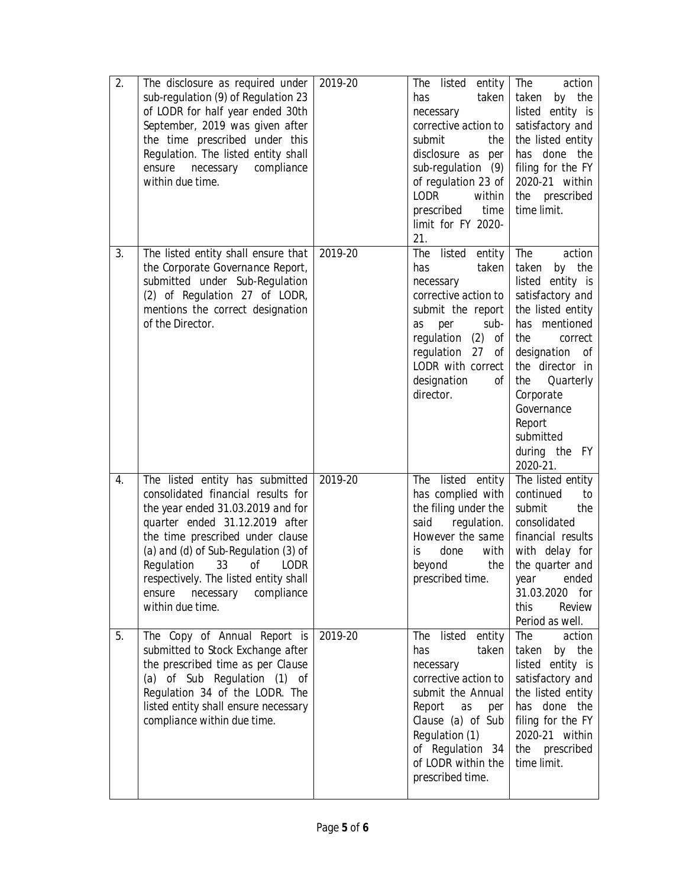| 2. | The disclosure as required under<br>sub-regulation (9) of Regulation 23<br>of LODR for half year ended 30th<br>September, 2019 was given after<br>the time prescribed under this<br>Regulation. The listed entity shall<br>ensure necessary<br>compliance<br>within due time.                                                                       | 2019-20 | The listed<br>entity<br>taken<br>has<br>necessary<br>corrective action to<br>submit<br>the<br>disclosure as per<br>sub-regulation (9)<br>of regulation 23 of<br>LODR<br>within<br>prescribed<br>time<br>limit for FY 2020-<br>21. | The<br>action<br>taken<br>by the<br>listed entity is<br>satisfactory and<br>the listed entity<br>has done the<br>filing for the FY<br>2020-21 within<br>the prescribed<br>time limit.                                                                                       |
|----|-----------------------------------------------------------------------------------------------------------------------------------------------------------------------------------------------------------------------------------------------------------------------------------------------------------------------------------------------------|---------|-----------------------------------------------------------------------------------------------------------------------------------------------------------------------------------------------------------------------------------|-----------------------------------------------------------------------------------------------------------------------------------------------------------------------------------------------------------------------------------------------------------------------------|
| 3. | The listed entity shall ensure that<br>the Corporate Governance Report,<br>submitted under Sub-Regulation<br>(2) of Regulation 27 of LODR,<br>mentions the correct designation<br>of the Director.                                                                                                                                                  | 2019-20 | The listed entity<br>taken<br>has<br>necessary<br>corrective action to<br>submit the report<br>sub-<br>per<br>as<br>regulation (2)<br>оf<br>regulation 27<br>оf<br>LODR with correct<br>designation<br>Οf<br>director.            | The<br>action<br>taken<br>by the<br>listed entity is<br>satisfactory and<br>the listed entity<br>has mentioned<br>the<br>correct<br>designation<br>оf<br>the director in<br>the<br>Quarterly<br>Corporate<br>Governance<br>Report<br>submitted<br>during the FY<br>2020-21. |
| 4. | The listed entity has submitted<br>consolidated financial results for<br>the year ended 31.03.2019 and for<br>quarter ended 31.12.2019 after<br>the time prescribed under clause<br>(a) and (d) of Sub-Regulation (3) of<br>Regulation 33 of LODR<br>respectively. The listed entity shall<br>necessary<br>compliance<br>ensure<br>within due time. | 2019-20 | The listed entity<br>has complied with<br>the filing under the<br>regulation.<br>said<br>However the same<br>with<br>done<br>İS<br>the<br>beyond<br>prescribed time.                                                              | The listed entity<br>continued<br>to<br>submit<br>the<br>consolidated<br>financial results<br>with delay for<br>the quarter and<br>ended<br>year<br>31.03.2020 for<br>Review<br>this<br>Period as well.                                                                     |
| 5. | The Copy of Annual Report is<br>submitted to Stock Exchange after<br>the prescribed time as per Clause<br>(a) of Sub Regulation (1) of<br>Regulation 34 of the LODR. The<br>listed entity shall ensure necessary<br>compliance within due time.                                                                                                     | 2019-20 | The listed entity<br>has<br>taken<br>necessary<br>corrective action to<br>submit the Annual<br>Report<br>as<br>per<br>Clause (a) of Sub<br>Regulation (1)<br>of Regulation 34<br>of LODR within the<br>prescribed time.           | The<br>action<br>taken by the<br>listed entity is<br>satisfactory and<br>the listed entity<br>has done the<br>filing for the FY<br>2020-21 within<br>the prescribed<br>time limit.                                                                                          |